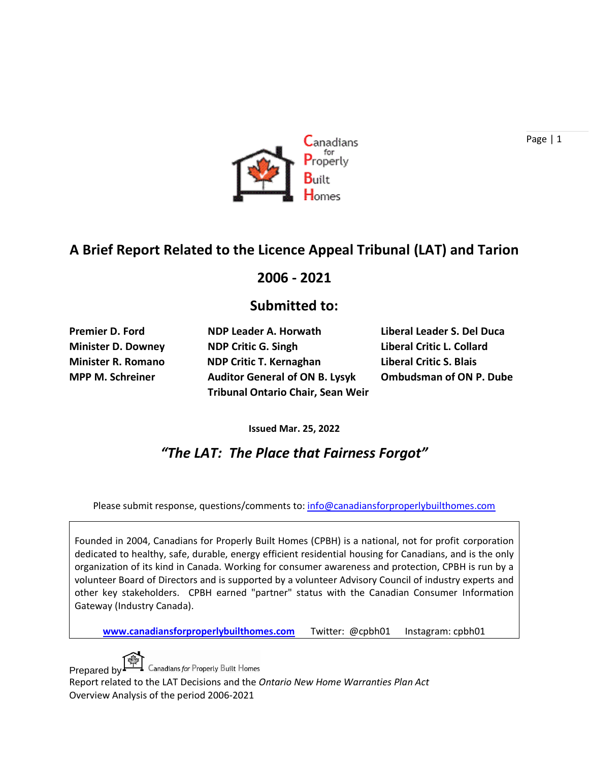

## **A Brief Report Related to the Licence Appeal Tribunal (LAT) and Tarion**

#### **2006 - 2021**

#### **Submitted to:**

**Minister D. Downey NDP Critic G. Singh Liberal Critic L. Collard Minister R. Romano NDP Critic T. Kernaghan Liberal Critic S. Blais MPP M. Schreiner Auditor General of ON B. Lysyk Ombudsman of ON P. Dube Tribunal Ontario Chair, Sean Weir**

**Premier D. Ford NDP Leader A. Horwath Liberal Leader S. Del Duca**

**Issued Mar. 25, 2022**

*"The LAT: The Place that Fairness Forgot"*

Please submit response, questions/comments to: [info@canadiansforproperlybuilthomes.com](mailto:info@canadiansforproperlybuilthomes.com)

Founded in 2004, Canadians for Properly Built Homes (CPBH) is a national, not for profit corporation dedicated to healthy, safe, durable, energy efficient residential housing for Canadians, and is the only organization of its kind in Canada. Working for consumer awareness and protection, CPBH is run by a volunteer Board of Directors and is supported by a volunteer Advisory Council of industry experts and other key stakeholders. CPBH earned "partner" status with the Canadian Consumer Information Gateway (Industry Canada).

**[www.canadiansforproperlybuilthomes.com](http://www.canadiansforproperlybuilthomes.com/)** Twitter: @cpbh01 Instagram: cpbh01



Prepared by ET Canadians for Properly Built Homes

Report related to the LAT Decisions and the *Ontario New Home Warranties Plan Act* Overview Analysis of the period 2006-2021

Page | 1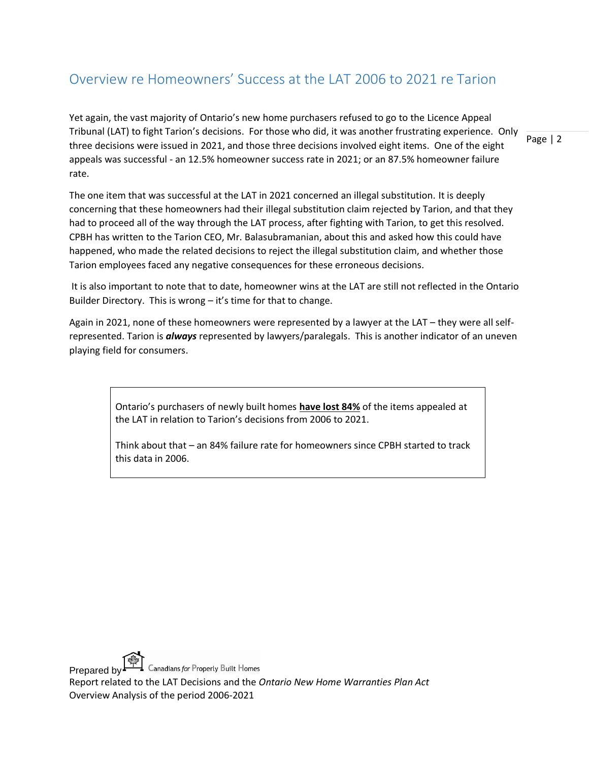### Overview re Homeowners' Success at the LAT 2006 to 2021 re Tarion

Page | 2 Yet again, the vast majority of Ontario's new home purchasers refused to go to the Licence Appeal Tribunal (LAT) to fight Tarion's decisions. For those who did, it was another frustrating experience. Only three decisions were issued in 2021, and those three decisions involved eight items. One of the eight appeals was successful - an 12.5% homeowner success rate in 2021; or an 87.5% homeowner failure rate.

The one item that was successful at the LAT in 2021 concerned an illegal substitution. It is deeply concerning that these homeowners had their illegal substitution claim rejected by Tarion, and that they had to proceed all of the way through the LAT process, after fighting with Tarion, to get this resolved. CPBH has written to the Tarion CEO, Mr. Balasubramanian, about this and asked how this could have happened, who made the related decisions to reject the illegal substitution claim, and whether those Tarion employees faced any negative consequences for these erroneous decisions.

It is also important to note that to date, homeowner wins at the LAT are still not reflected in the Ontario Builder Directory. This is wrong – it's time for that to change.

Again in 2021, none of these homeowners were represented by a lawyer at the LAT – they were all selfrepresented. Tarion is *always* represented by lawyers/paralegals. This is another indicator of an uneven playing field for consumers.

> Ontario's purchasers of newly built homes **have lost 84%** of the items appealed at the LAT in relation to Tarion's decisions from 2006 to 2021.

> Think about that – an 84% failure rate for homeowners since CPBH started to track this data in 2006.

Prepared by Canadians for Property Built Homes

Report related to the LAT Decisions and the *Ontario New Home Warranties Plan Act* Overview Analysis of the period 2006-2021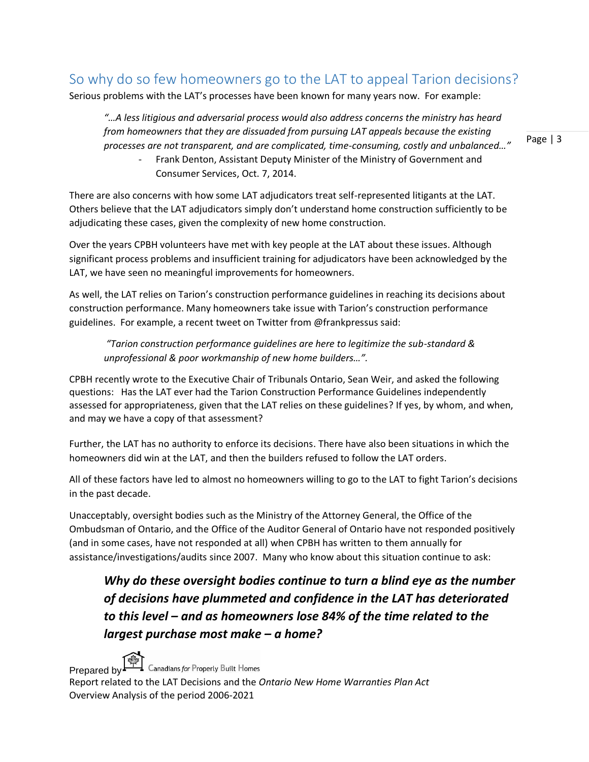### So why do so few homeowners go to the LAT to appeal Tarion decisions?

Serious problems with the LAT's processes have been known for many years now. For example:

*"…A less litigious and adversarial process would also address concerns the ministry has heard from homeowners that they are dissuaded from pursuing LAT appeals because the existing processes are not transparent, and are complicated, time-consuming, costly and unbalanced…"*

> Frank Denton, Assistant Deputy Minister of the Ministry of Government and Consumer Services, Oct. 7, 2014.

There are also concerns with how some LAT adjudicators treat self-represented litigants at the LAT. Others believe that the LAT adjudicators simply don't understand home construction sufficiently to be adjudicating these cases, given the complexity of new home construction.

Over the years CPBH volunteers have met with key people at the LAT about these issues. Although significant process problems and insufficient training for adjudicators have been acknowledged by the LAT, we have seen no meaningful improvements for homeowners.

As well, the LAT relies on Tarion's construction performance guidelines in reaching its decisions about construction performance. Many homeowners take issue with Tarion's construction performance guidelines. For example, a recent tweet on Twitter from @frankpressus said:

*"Tarion construction performance guidelines are here to legitimize the sub-standard & unprofessional & poor workmanship of new home builders…".* 

CPBH recently wrote to the Executive Chair of Tribunals Ontario, Sean Weir, and asked the following questions: Has the LAT ever had the Tarion Construction Performance Guidelines independently assessed for appropriateness, given that the LAT relies on these guidelines? If yes, by whom, and when, and may we have a copy of that assessment?

Further, the LAT has no authority to enforce its decisions. There have also been situations in which the homeowners did win at the LAT, and then the builders refused to follow the LAT orders.

All of these factors have led to almost no homeowners willing to go to the LAT to fight Tarion's decisions in the past decade.

Unacceptably, oversight bodies such as the Ministry of the Attorney General, the Office of the Ombudsman of Ontario, and the Office of the Auditor General of Ontario have not responded positively (and in some cases, have not responded at all) when CPBH has written to them annually for assistance/investigations/audits since 2007. Many who know about this situation continue to ask:

*Why do these oversight bodies continue to turn a blind eye as the number of decisions have plummeted and confidence in the LAT has deteriorated to this level – and as homeowners lose 84% of the time related to the largest purchase most make – a home?*

Prepared by Canadians for Properly Built Homes

Report related to the LAT Decisions and the *Ontario New Home Warranties Plan Act* Overview Analysis of the period 2006-2021

Page | 3